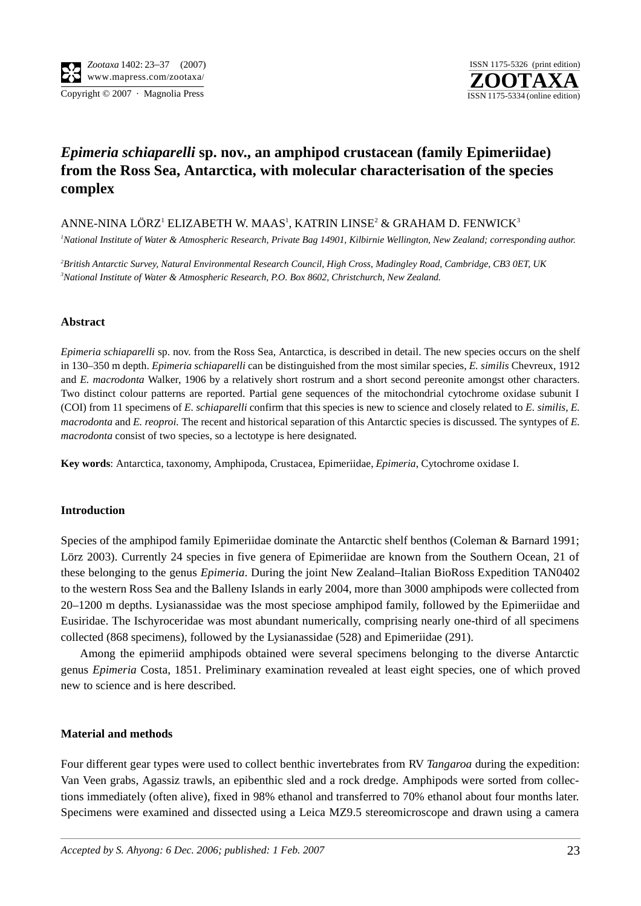

# *Epimeria schiaparelli* **sp. nov., an amphipod crustacean (family Epimeriidae) from the Ross Sea, Antarctica, with molecular characterisation of the species complex**

ANNE-NINA LÖRZ $^{\scriptscriptstyle 1}$  ELIZABETH W. MAAS', KATRIN LINSE $^{\scriptscriptstyle 2}$  & GRAHAM D. FENWICK $^{\scriptscriptstyle 3}$ 

*1 National Institute of Water & Atmospheric Research, Private Bag 14901, Kilbirnie Wellington, New Zealand; corresponding author.*

*2 British Antarctic Survey, Natural Environmental Research Council, High Cross, Madingley Road, Cambridge, CB3 0ET, UK 3 National Institute of Water & Atmospheric Research, P.O. Box 8602, Christchurch, New Zealand.*

# **Abstract**

*Epimeria schiaparelli* sp. nov. from the Ross Sea, Antarctica, is described in detail. The new species occurs on the shelf in 130–350 m depth. *Epimeria schiaparelli* can be distinguished from the most similar species, *E. similis* Chevreux, 1912 and *E. macrodonta* Walker, 1906 by a relatively short rostrum and a short second pereonite amongst other characters. Two distinct colour patterns are reported. Partial gene sequences of the mitochondrial cytochrome oxidase subunit I (COI) from 11 specimens of *E. schiaparelli* confirm that this species is new to science and closely related to *E. similis*, *E. macrodonta* and *E. reoproi.* The recent and historical separation of this Antarctic species is discussed. The syntypes of *E. macrodonta* consist of two species, so a lectotype is here designated.

**Key words**: Antarctica, taxonomy, Amphipoda, Crustacea, Epimeriidae, *Epimeria*, Cytochrome oxidase I.

## **Introduction**

Species of the amphipod family Epimeriidae dominate the Antarctic shelf benthos (Coleman & Barnard 1991; Lörz 2003). Currently 24 species in five genera of Epimeriidae are known from the Southern Ocean, 21 of these belonging to the genus *Epimeria*. During the joint New Zealand–Italian BioRoss Expedition TAN0402 to the western Ross Sea and the Balleny Islands in early 2004, more than 3000 amphipods were collected from 20–1200 m depths. Lysianassidae was the most speciose amphipod family, followed by the Epimeriidae and Eusiridae. The Ischyroceridae was most abundant numerically, comprising nearly one-third of all specimens collected (868 specimens), followed by the Lysianassidae (528) and Epimeriidae (291).

Among the epimeriid amphipods obtained were several specimens belonging to the diverse Antarctic genus *Epimeria* Costa, 1851. Preliminary examination revealed at least eight species, one of which proved new to science and is here described.

# **Material and methods**

Four different gear types were used to collect benthic invertebrates from RV *Tangaroa* during the expedition: Van Veen grabs, Agassiz trawls, an epibenthic sled and a rock dredge. Amphipods were sorted from collections immediately (often alive), fixed in 98% ethanol and transferred to 70% ethanol about four months later. Specimens were examined and dissected using a Leica MZ9.5 stereomicroscope and drawn using a camera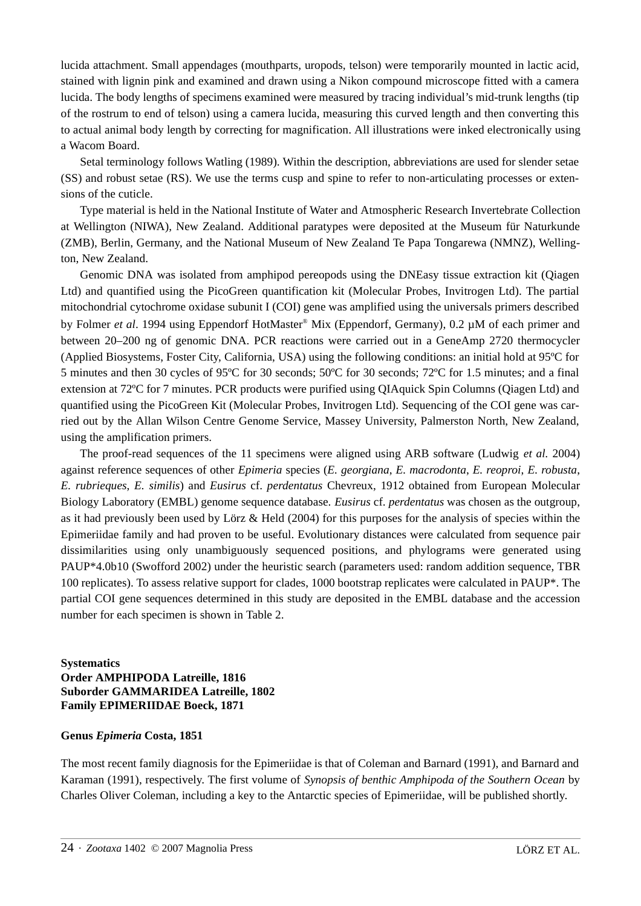lucida attachment. Small appendages (mouthparts, uropods, telson) were temporarily mounted in lactic acid, stained with lignin pink and examined and drawn using a Nikon compound microscope fitted with a camera lucida. The body lengths of specimens examined were measured by tracing individual's mid-trunk lengths (tip of the rostrum to end of telson) using a camera lucida, measuring this curved length and then converting this to actual animal body length by correcting for magnification. All illustrations were inked electronically using a Wacom Board.

Setal terminology follows Watling (1989). Within the description, abbreviations are used for slender setae (SS) and robust setae (RS). We use the terms cusp and spine to refer to non-articulating processes or extensions of the cuticle.

Type material is held in the National Institute of Water and Atmospheric Research Invertebrate Collection at Wellington (NIWA), New Zealand. Additional paratypes were deposited at the Museum für Naturkunde (ZMB), Berlin, Germany, and the National Museum of New Zealand Te Papa Tongarewa (NMNZ), Wellington, New Zealand.

Genomic DNA was isolated from amphipod pereopods using the DNEasy tissue extraction kit (Qiagen Ltd) and quantified using the PicoGreen quantification kit (Molecular Probes, Invitrogen Ltd). The partial mitochondrial cytochrome oxidase subunit I (COI) gene was amplified using the universals primers described by Folmer *et al*. 1994 using Eppendorf HotMaster® Mix (Eppendorf, Germany), 0.2 µM of each primer and between 20–200 ng of genomic DNA. PCR reactions were carried out in a GeneAmp 2720 thermocycler (Applied Biosystems, Foster City, California, USA) using the following conditions: an initial hold at 95ºC for 5 minutes and then 30 cycles of 95ºC for 30 seconds; 50ºC for 30 seconds; 72ºC for 1.5 minutes; and a final extension at 72ºC for 7 minutes. PCR products were purified using QIAquick Spin Columns (Qiagen Ltd) and quantified using the PicoGreen Kit (Molecular Probes, Invitrogen Ltd). Sequencing of the COI gene was carried out by the Allan Wilson Centre Genome Service, Massey University, Palmerston North, New Zealand, using the amplification primers.

The proof-read sequences of the 11 specimens were aligned using ARB software (Ludwig *et al.* 2004) against reference sequences of other *Epimeria* species (*E. georgiana*, *E. macrodonta*, *E. reoproi*, *E. robusta*, *E. rubrieques*, *E. similis*) and *Eusirus* cf. *perdentatus* Chevreux, 1912 obtained from European Molecular Biology Laboratory (EMBL) genome sequence database. *Eusirus* cf. *perdentatus* was chosen as the outgroup, as it had previously been used by Lörz & Held (2004) for this purposes for the analysis of species within the Epimeriidae family and had proven to be useful. Evolutionary distances were calculated from sequence pair dissimilarities using only unambiguously sequenced positions, and phylograms were generated using PAUP\*4.0b10 (Swofford 2002) under the heuristic search (parameters used: random addition sequence, TBR 100 replicates). To assess relative support for clades, 1000 bootstrap replicates were calculated in PAUP\*. The partial COI gene sequences determined in this study are deposited in the EMBL database and the accession number for each specimen is shown in Table 2.

# **Systematics Order AMPHIPODA Latreille, 1816 Suborder GAMMARIDEA Latreille, 1802 Family EPIMERIIDAE Boeck, 1871**

## **Genus** *Epimeria* **Costa, 1851**

The most recent family diagnosis for the Epimeriidae is that of Coleman and Barnard (1991), and Barnard and Karaman (1991), respectively. The first volume of *Synopsis of benthic Amphipoda of the Southern Ocean* by Charles Oliver Coleman, including a key to the Antarctic species of Epimeriidae, will be published shortly.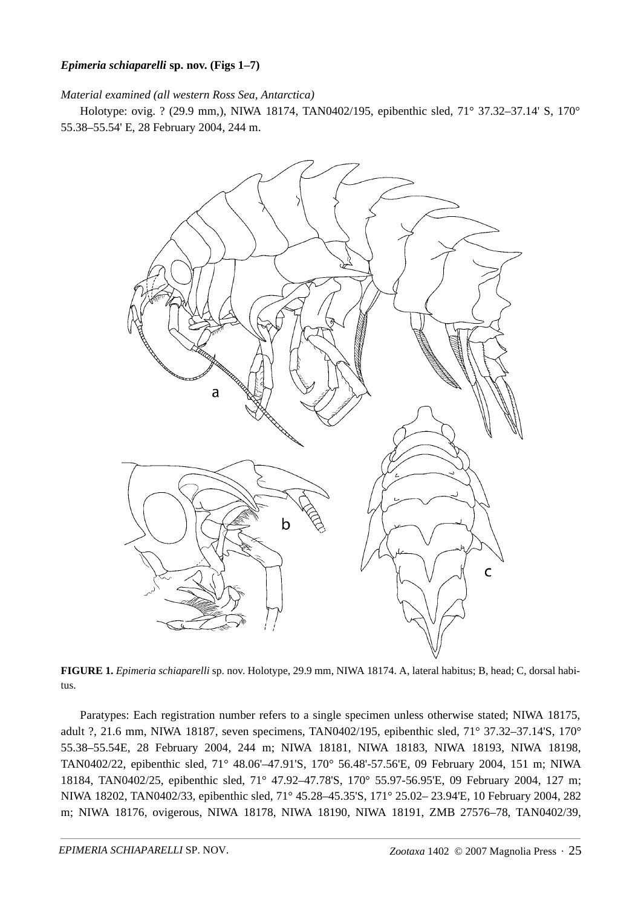# *Epimeria schiaparelli* **sp. nov. (Figs 1–7)**

*Material examined (all western Ross Sea, Antarctica)* 

Holotype: ovig. ? (29.9 mm,), NIWA 18174, TAN0402/195, epibenthic sled, 71° 37.32–37.14' S, 170° 55.38–55.54' E, 28 February 2004, 244 m.



**FIGURE 1.** *Epimeria schiaparelli* sp. nov. Holotype, 29.9 mm, NIWA 18174. A, lateral habitus; B, head; C, dorsal habitus.

Paratypes: Each registration number refers to a single specimen unless otherwise stated; NIWA 18175, adult ?, 21.6 mm, NIWA 18187, seven specimens, TAN0402/195, epibenthic sled, 71° 37.32–37.14'S, 170° 55.38–55.54E, 28 February 2004, 244 m; NIWA 18181, NIWA 18183, NIWA 18193, NIWA 18198, TAN0402/22, epibenthic sled, 71° 48.06'–47.91'S, 170° 56.48'-57.56'E, 09 February 2004, 151 m; NIWA 18184, TAN0402/25, epibenthic sled, 71° 47.92–47.78'S, 170° 55.97-56.95'E, 09 February 2004, 127 m; NIWA 18202, TAN0402/33, epibenthic sled, 71° 45.28–45.35'S, 171° 25.02– 23.94'E, 10 February 2004, 282 m; NIWA 18176, ovigerous, NIWA 18178, NIWA 18190, NIWA 18191, ZMB 27576–78, TAN0402/39,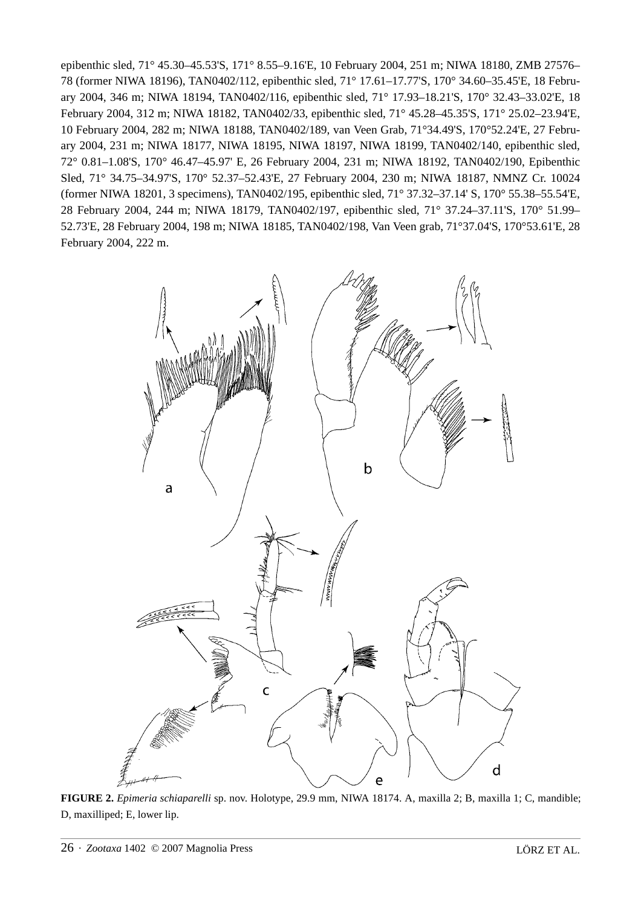epibenthic sled, 71° 45.30–45.53'S, 171° 8.55–9.16'E, 10 February 2004, 251 m; NIWA 18180, ZMB 27576– 78 (former NIWA 18196), TAN0402/112, epibenthic sled, 71° 17.61–17.77'S, 170° 34.60–35.45'E, 18 February 2004, 346 m; NIWA 18194, TAN0402/116, epibenthic sled, 71° 17.93–18.21'S, 170° 32.43–33.02'E, 18 February 2004, 312 m; NIWA 18182, TAN0402/33, epibenthic sled, 71° 45.28–45.35'S, 171° 25.02–23.94'E, 10 February 2004, 282 m; NIWA 18188, TAN0402/189, van Veen Grab, 71°34.49'S, 170°52.24'E, 27 February 2004, 231 m; NIWA 18177, NIWA 18195, NIWA 18197, NIWA 18199, TAN0402/140, epibenthic sled, 72° 0.81–1.08'S, 170° 46.47–45.97' E, 26 February 2004, 231 m; NIWA 18192, TAN0402/190, Epibenthic Sled, 71° 34.75–34.97'S, 170° 52.37–52.43'E, 27 February 2004, 230 m; NIWA 18187, NMNZ Cr. 10024 (former NIWA 18201, 3 specimens), TAN0402/195, epibenthic sled, 71° 37.32–37.14' S, 170° 55.38–55.54'E, 28 February 2004, 244 m; NIWA 18179, TAN0402/197, epibenthic sled, 71° 37.24–37.11'S, 170° 51.99– 52.73'E, 28 February 2004, 198 m; NIWA 18185, TAN0402/198, Van Veen grab, 71°37.04'S, 170°53.61'E, 28 February 2004, 222 m.



**FIGURE 2.** *Epimeria schiaparelli* sp. nov. Holotype, 29.9 mm, NIWA 18174. A, maxilla 2; B, maxilla 1; C, mandible; D, maxilliped; E, lower lip.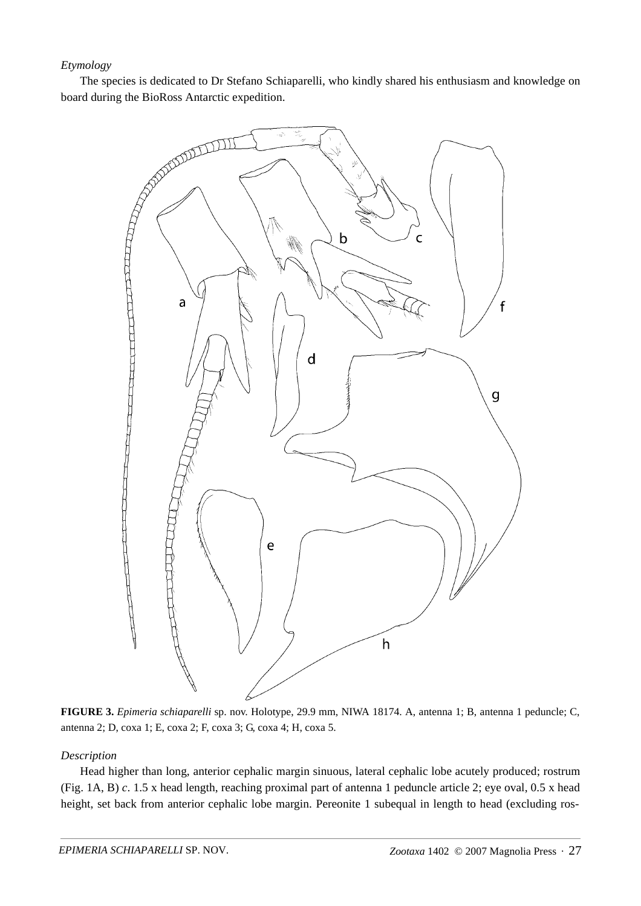# *Etymology*

The species is dedicated to Dr Stefano Schiaparelli, who kindly shared his enthusiasm and knowledge on board during the BioRoss Antarctic expedition.



**FIGURE 3.** *Epimeria schiaparelli* sp. nov. Holotype, 29.9 mm, NIWA 18174. A, antenna 1; B, antenna 1 peduncle; C, antenna 2; D, coxa 1; E, coxa 2; F, coxa 3; G, coxa 4; H, coxa 5.

# *Description*

Head higher than long, anterior cephalic margin sinuous, lateral cephalic lobe acutely produced; rostrum (Fig. 1A, B) *c*. 1.5 x head length, reaching proximal part of antenna 1 peduncle article 2; eye oval, 0.5 x head height, set back from anterior cephalic lobe margin. Pereonite 1 subequal in length to head (excluding ros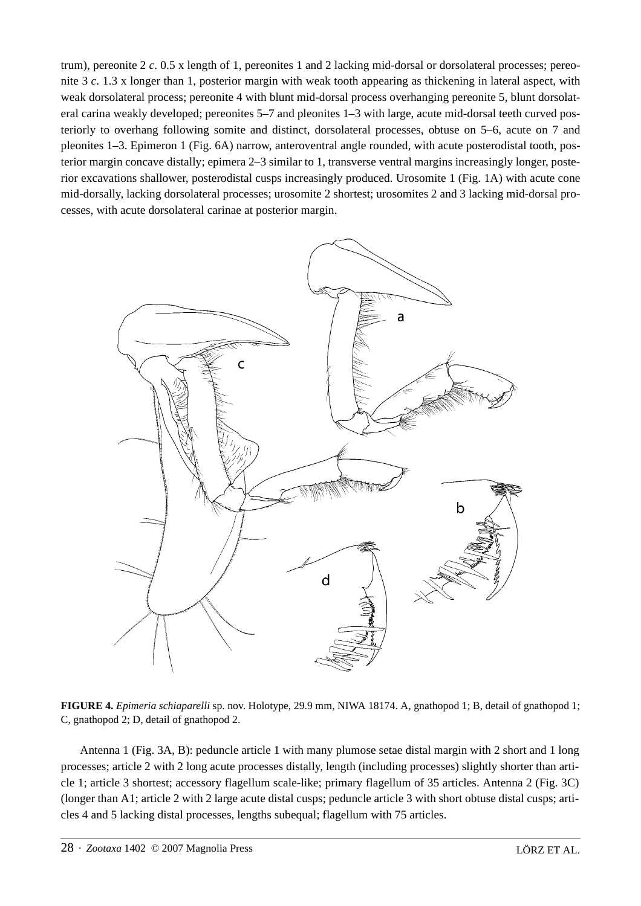trum), pereonite 2 *c*. 0.5 x length of 1, pereonites 1 and 2 lacking mid-dorsal or dorsolateral processes; pereonite 3 *c*. 1.3 x longer than 1, posterior margin with weak tooth appearing as thickening in lateral aspect, with weak dorsolateral process; pereonite 4 with blunt mid-dorsal process overhanging pereonite 5, blunt dorsolateral carina weakly developed; pereonites 5–7 and pleonites 1–3 with large, acute mid-dorsal teeth curved posteriorly to overhang following somite and distinct, dorsolateral processes, obtuse on 5–6, acute on 7 and pleonites 1–3. Epimeron 1 (Fig. 6A) narrow, anteroventral angle rounded, with acute posterodistal tooth, posterior margin concave distally; epimera 2–3 similar to 1, transverse ventral margins increasingly longer, posterior excavations shallower, posterodistal cusps increasingly produced. Urosomite 1 (Fig. 1A) with acute cone mid-dorsally, lacking dorsolateral processes; urosomite 2 shortest; urosomites 2 and 3 lacking mid-dorsal processes, with acute dorsolateral carinae at posterior margin.



**FIGURE 4.** *Epimeria schiaparelli* sp. nov. Holotype, 29.9 mm, NIWA 18174. A, gnathopod 1; B, detail of gnathopod 1; C, gnathopod 2; D, detail of gnathopod 2.

Antenna 1 (Fig. 3A, B): peduncle article 1 with many plumose setae distal margin with 2 short and 1 long processes; article 2 with 2 long acute processes distally, length (including processes) slightly shorter than article 1; article 3 shortest; accessory flagellum scale-like; primary flagellum of 35 articles. Antenna 2 (Fig. 3C) (longer than A1; article 2 with 2 large acute distal cusps; peduncle article 3 with short obtuse distal cusps; articles 4 and 5 lacking distal processes, lengths subequal; flagellum with 75 articles.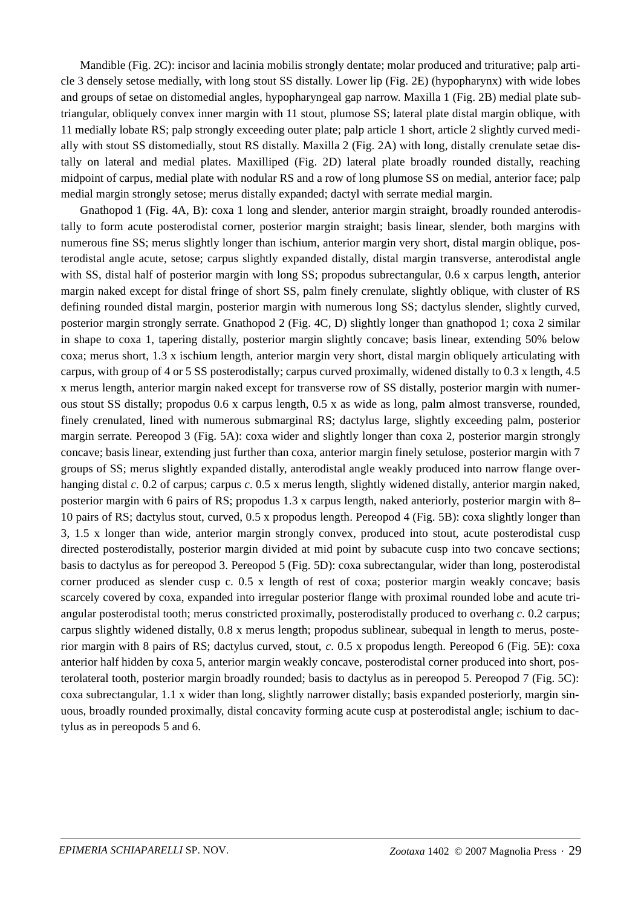Mandible (Fig. 2C): incisor and lacinia mobilis strongly dentate; molar produced and triturative; palp article 3 densely setose medially, with long stout SS distally. Lower lip (Fig. 2E) (hypopharynx) with wide lobes and groups of setae on distomedial angles, hypopharyngeal gap narrow. Maxilla 1 (Fig. 2B) medial plate subtriangular, obliquely convex inner margin with 11 stout, plumose SS; lateral plate distal margin oblique, with 11 medially lobate RS; palp strongly exceeding outer plate; palp article 1 short, article 2 slightly curved medially with stout SS distomedially, stout RS distally. Maxilla 2 (Fig. 2A) with long, distally crenulate setae distally on lateral and medial plates. Maxilliped (Fig. 2D) lateral plate broadly rounded distally, reaching midpoint of carpus, medial plate with nodular RS and a row of long plumose SS on medial, anterior face; palp medial margin strongly setose; merus distally expanded; dactyl with serrate medial margin.

Gnathopod 1 (Fig. 4A, B): coxa 1 long and slender, anterior margin straight, broadly rounded anterodistally to form acute posterodistal corner, posterior margin straight; basis linear, slender, both margins with numerous fine SS; merus slightly longer than ischium, anterior margin very short, distal margin oblique, posterodistal angle acute, setose; carpus slightly expanded distally, distal margin transverse, anterodistal angle with SS, distal half of posterior margin with long SS; propodus subrectangular, 0.6 x carpus length, anterior margin naked except for distal fringe of short SS, palm finely crenulate, slightly oblique, with cluster of RS defining rounded distal margin, posterior margin with numerous long SS; dactylus slender, slightly curved, posterior margin strongly serrate. Gnathopod 2 (Fig. 4C, D) slightly longer than gnathopod 1; coxa 2 similar in shape to coxa 1, tapering distally, posterior margin slightly concave; basis linear, extending 50% below coxa; merus short, 1.3 x ischium length, anterior margin very short, distal margin obliquely articulating with carpus, with group of 4 or 5 SS posterodistally; carpus curved proximally, widened distally to 0.3 x length, 4.5 x merus length, anterior margin naked except for transverse row of SS distally, posterior margin with numerous stout SS distally; propodus 0.6 x carpus length, 0.5 x as wide as long, palm almost transverse, rounded, finely crenulated, lined with numerous submarginal RS; dactylus large, slightly exceeding palm, posterior margin serrate. Pereopod 3 (Fig. 5A): coxa wider and slightly longer than coxa 2, posterior margin strongly concave; basis linear, extending just further than coxa, anterior margin finely setulose, posterior margin with 7 groups of SS; merus slightly expanded distally, anterodistal angle weakly produced into narrow flange overhanging distal *c*. 0.2 of carpus; carpus *c*. 0.5 x merus length, slightly widened distally, anterior margin naked, posterior margin with 6 pairs of RS; propodus 1.3 x carpus length, naked anteriorly, posterior margin with 8– 10 pairs of RS; dactylus stout, curved, 0.5 x propodus length. Pereopod 4 (Fig. 5B): coxa slightly longer than 3, 1.5 x longer than wide, anterior margin strongly convex, produced into stout, acute posterodistal cusp directed posterodistally, posterior margin divided at mid point by subacute cusp into two concave sections; basis to dactylus as for pereopod 3. Pereopod 5 (Fig. 5D): coxa subrectangular, wider than long, posterodistal corner produced as slender cusp c. 0.5 x length of rest of coxa; posterior margin weakly concave; basis scarcely covered by coxa, expanded into irregular posterior flange with proximal rounded lobe and acute triangular posterodistal tooth; merus constricted proximally, posterodistally produced to overhang *c*. 0.2 carpus; carpus slightly widened distally, 0.8 x merus length; propodus sublinear, subequal in length to merus, posterior margin with 8 pairs of RS; dactylus curved, stout, *c*. 0.5 x propodus length. Pereopod 6 (Fig. 5E): coxa anterior half hidden by coxa 5, anterior margin weakly concave, posterodistal corner produced into short, posterolateral tooth, posterior margin broadly rounded; basis to dactylus as in pereopod 5. Pereopod 7 (Fig. 5C): coxa subrectangular, 1.1 x wider than long, slightly narrower distally; basis expanded posteriorly, margin sinuous, broadly rounded proximally, distal concavity forming acute cusp at posterodistal angle; ischium to dactylus as in pereopods 5 and 6.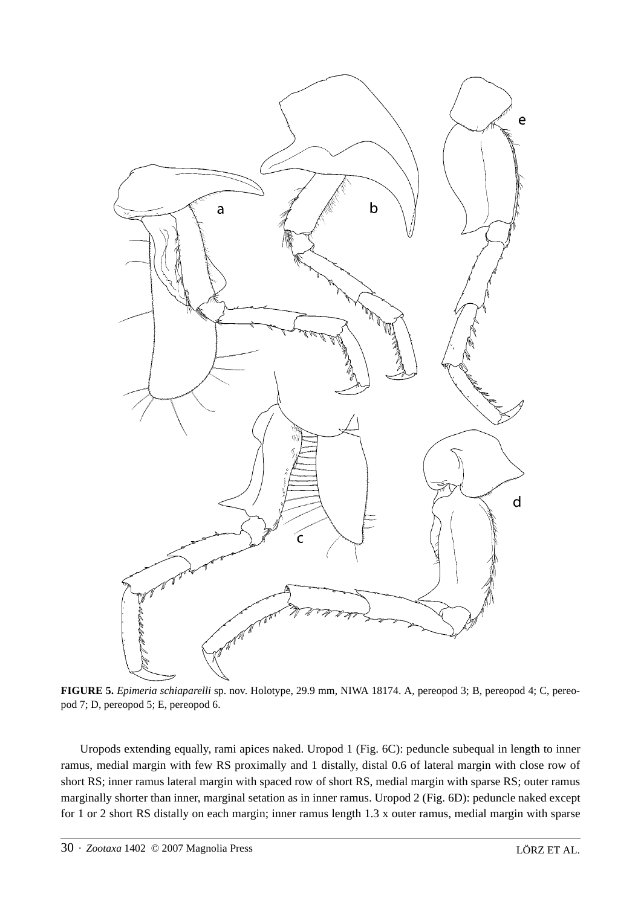

**FIGURE 5.** *Epimeria schiaparelli* sp. nov. Holotype, 29.9 mm, NIWA 18174. A, pereopod 3; B, pereopod 4; C, pereopod 7; D, pereopod 5; E, pereopod 6.

Uropods extending equally, rami apices naked. Uropod 1 (Fig. 6C): peduncle subequal in length to inner ramus, medial margin with few RS proximally and 1 distally, distal 0.6 of lateral margin with close row of short RS; inner ramus lateral margin with spaced row of short RS, medial margin with sparse RS; outer ramus marginally shorter than inner, marginal setation as in inner ramus. Uropod 2 (Fig. 6D): peduncle naked except for 1 or 2 short RS distally on each margin; inner ramus length 1.3 x outer ramus, medial margin with sparse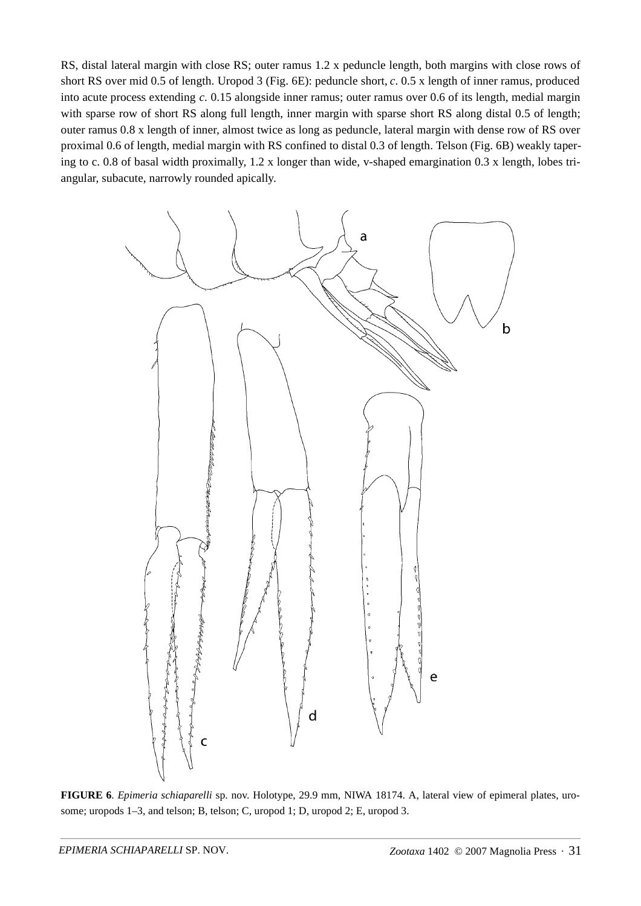RS, distal lateral margin with close RS; outer ramus 1.2 x peduncle length, both margins with close rows of short RS over mid 0.5 of length. Uropod 3 (Fig. 6E): peduncle short, *c*. 0.5 x length of inner ramus, produced into acute process extending *c*. 0.15 alongside inner ramus; outer ramus over 0.6 of its length, medial margin with sparse row of short RS along full length, inner margin with sparse short RS along distal 0.5 of length; outer ramus 0.8 x length of inner, almost twice as long as peduncle, lateral margin with dense row of RS over proximal 0.6 of length, medial margin with RS confined to distal 0.3 of length. Telson (Fig. 6B) weakly tapering to c. 0.8 of basal width proximally, 1.2 x longer than wide, v-shaped emargination 0.3 x length, lobes triangular, subacute, narrowly rounded apically.



**FIGURE 6**. *Epimeria schiaparelli* sp. nov. Holotype, 29.9 mm, NIWA 18174. A, lateral view of epimeral plates, urosome; uropods 1–3, and telson; B, telson; C, uropod 1; D, uropod 2; E, uropod 3.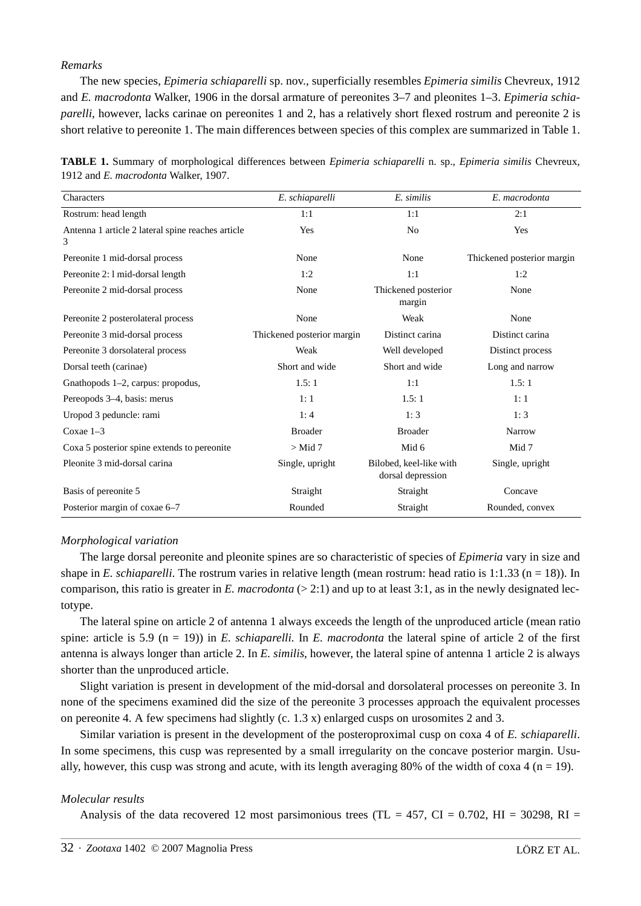# *Remarks*

The new species, *Epimeria schiaparelli* sp. nov., superficially resembles *Epimeria similis* Chevreux, 1912 and *E. macrodonta* Walker, 1906 in the dorsal armature of pereonites 3–7 and pleonites 1–3. *Epimeria schiaparelli*, however, lacks carinae on pereonites 1 and 2, has a relatively short flexed rostrum and pereonite 2 is short relative to pereonite 1. The main differences between species of this complex are summarized in Table 1.

| Characters                                             | E. schiaparelli            | E. similis                                   | E. macrodonta              |  |  |  |
|--------------------------------------------------------|----------------------------|----------------------------------------------|----------------------------|--|--|--|
| Rostrum: head length                                   | 1:1                        | 1:1                                          | 2:1                        |  |  |  |
| Antenna 1 article 2 lateral spine reaches article<br>3 | Yes                        | N <sub>0</sub>                               | Yes                        |  |  |  |
| Pereonite 1 mid-dorsal process                         | None                       | None                                         | Thickened posterior margin |  |  |  |
| Pereonite 2: 1 mid-dorsal length                       | 1:2                        | 1:1                                          | 1:2                        |  |  |  |
| Pereonite 2 mid-dorsal process                         | None                       | Thickened posterior<br>margin                | None                       |  |  |  |
| Pereonite 2 posterolateral process                     | None                       | Weak                                         | None                       |  |  |  |
| Pereonite 3 mid-dorsal process                         | Thickened posterior margin | Distinct carina                              | Distinct carina            |  |  |  |
| Pereonite 3 dorsolateral process                       | Weak                       | Well developed                               | Distinct process           |  |  |  |
| Dorsal teeth (carinae)                                 | Short and wide             | Short and wide                               | Long and narrow            |  |  |  |
| Gnathopods 1–2, carpus: propodus,                      | 1.5:1                      | 1:1                                          | 1.5:1                      |  |  |  |
| Pereopods 3–4, basis: merus                            | 1:1                        | 1.5:1                                        | 1:1                        |  |  |  |
| Uropod 3 peduncle: rami                                | 1:4                        | 1:3                                          | 1:3                        |  |  |  |
| Coxae $1-3$                                            | <b>Broader</b>             | <b>Broader</b>                               | <b>Narrow</b>              |  |  |  |
| Coxa 5 posterior spine extends to pereonite            | $>$ Mid 7                  | Mid 6                                        | Mid 7                      |  |  |  |
| Pleonite 3 mid-dorsal carina                           | Single, upright            | Bilobed, keel-like with<br>dorsal depression | Single, upright            |  |  |  |
| Basis of pereonite 5                                   | Straight                   | Straight                                     | Concave                    |  |  |  |
| Posterior margin of coxae 6–7                          | Rounded                    | Straight                                     | Rounded, convex            |  |  |  |

**TABLE 1.** Summary of morphological differences between *Epimeria schiaparelli* n. sp., *Epimeria similis* Chevreux, 1912 and *E. macrodonta* Walker, 1907.

## *Morphological variation*

The large dorsal pereonite and pleonite spines are so characteristic of species of *Epimeria* vary in size and shape in *E. schiaparelli*. The rostrum varies in relative length (mean rostrum: head ratio is  $1:1.33$  (n = 18)). In comparison, this ratio is greater in *E. macrodonta* ( $>$  2:1) and up to at least 3:1, as in the newly designated lectotype.

The lateral spine on article 2 of antenna 1 always exceeds the length of the unproduced article (mean ratio spine: article is 5.9 (n = 19)) in *E. schiaparelli.* In *E. macrodonta* the lateral spine of article 2 of the first antenna is always longer than article 2. In *E. similis*, however, the lateral spine of antenna 1 article 2 is always shorter than the unproduced article.

Slight variation is present in development of the mid-dorsal and dorsolateral processes on pereonite 3. In none of the specimens examined did the size of the pereonite 3 processes approach the equivalent processes on pereonite 4. A few specimens had slightly (c.  $1.3 \text{ x}$ ) enlarged cusps on urosomites 2 and 3.

Similar variation is present in the development of the posteroproximal cusp on coxa 4 of *E. schiaparelli*. In some specimens, this cusp was represented by a small irregularity on the concave posterior margin. Usually, however, this cusp was strong and acute, with its length averaging 80% of the width of coxa 4 ( $n = 19$ ).

#### *Molecular results*

Analysis of the data recovered 12 most parsimonious trees (TL = 457, CI = 0.702, HI = 30298, RI =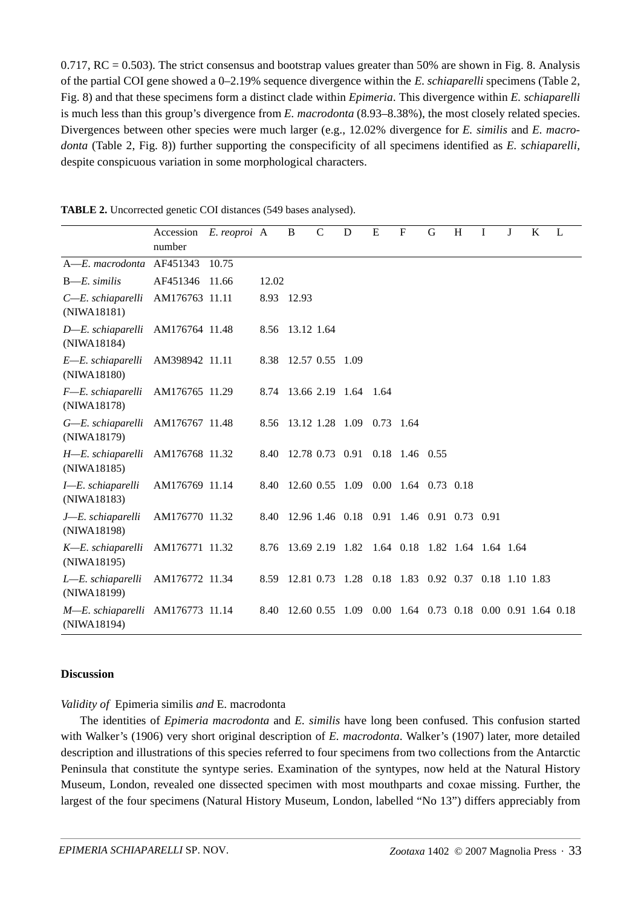$0.717$ , RC = 0.503). The strict consensus and bootstrap values greater than 50% are shown in Fig. 8. Analysis of the partial COI gene showed a 0–2.19% sequence divergence within the *E. schiaparelli* specimens (Table 2, Fig. 8) and that these specimens form a distinct clade within *Epimeria*. This divergence within *E. schiaparelli* is much less than this group's divergence from *E. macrodonta* (8.93–8.38%), the most closely related species. Divergences between other species were much larger (e.g., 12.02% divergence for *E. similis* and *E. macrodonta* (Table 2, Fig. 8)) further supporting the conspecificity of all specimens identified as *E. schiaparelli*, despite conspicuous variation in some morphological characters.

|                                                    | Accession      | E. reoproi A |       | $\, {\bf B}$                                                 | $\mathsf{C}$ | D | E | $\mathbf F$ | G | H | I | J | K | L |
|----------------------------------------------------|----------------|--------------|-------|--------------------------------------------------------------|--------------|---|---|-------------|---|---|---|---|---|---|
|                                                    | number         |              |       |                                                              |              |   |   |             |   |   |   |   |   |   |
| A—E. macrodonta AF451343                           |                | 10.75        |       |                                                              |              |   |   |             |   |   |   |   |   |   |
| $B$ — $E$ . similis                                | AF451346 11.66 |              | 12.02 |                                                              |              |   |   |             |   |   |   |   |   |   |
| C-E. schiaparelli<br>(NIWA18181)                   | AM176763 11.11 |              |       | 8.93 12.93                                                   |              |   |   |             |   |   |   |   |   |   |
| D-E. schiaparelli AM176764 11.48<br>(NIWA18184)    |                |              |       | 8.56 13.12 1.64                                              |              |   |   |             |   |   |   |   |   |   |
| E-E. schiaparelli AM398942 11.11<br>(NIWA18180)    |                |              |       | 8.38 12.57 0.55 1.09                                         |              |   |   |             |   |   |   |   |   |   |
| $F$ —E. schiaparelli AM176765 11.29<br>(NIWA18178) |                |              |       | 8.74 13.66 2.19 1.64 1.64                                    |              |   |   |             |   |   |   |   |   |   |
| G-E. schiaparelli AM176767 11.48<br>(NIWA18179)    |                |              |       | 8.56 13.12 1.28 1.09 0.73 1.64                               |              |   |   |             |   |   |   |   |   |   |
| H-E. schiaparelli AM176768 11.32<br>(NIWA18185)    |                |              |       | 8.40 12.78 0.73 0.91 0.18 1.46 0.55                          |              |   |   |             |   |   |   |   |   |   |
| I-E. schiaparelli<br>(NIWA18183)                   | AM176769 11.14 |              |       | 8.40 12.60 0.55 1.09 0.00 1.64 0.73 0.18                     |              |   |   |             |   |   |   |   |   |   |
| J-E. schiaparelli<br>(NIWA18198)                   | AM176770 11.32 |              |       | 8.40 12.96 1.46 0.18 0.91 1.46 0.91 0.73 0.91                |              |   |   |             |   |   |   |   |   |   |
| K-E. schiaparelli<br>(NIWA18195)                   | AM176771 11.32 |              |       | 8.76 13.69 2.19 1.82 1.64 0.18 1.82 1.64 1.64 1.64           |              |   |   |             |   |   |   |   |   |   |
| L-E. schiaparelli<br>(NIWA18199)                   | AM176772 11.34 |              |       | 8.59 12.81 0.73 1.28 0.18 1.83 0.92 0.37 0.18 1.10 1.83      |              |   |   |             |   |   |   |   |   |   |
| M-E. schiaparelli AM176773 11.14<br>(NIWA18194)    |                |              |       | 8.40 12.60 0.55 1.09 0.00 1.64 0.73 0.18 0.00 0.91 1.64 0.18 |              |   |   |             |   |   |   |   |   |   |

#### **TABLE 2.** Uncorrected genetic COI distances (549 bases analysed).

#### **Discussion**

*Validity of* Epimeria similis *and* E. macrodonta

The identities of *Epimeria macrodonta* and *E. similis* have long been confused. This confusion started with Walker's (1906) very short original description of *E. macrodonta*. Walker's (1907) later, more detailed description and illustrations of this species referred to four specimens from two collections from the Antarctic Peninsula that constitute the syntype series. Examination of the syntypes, now held at the Natural History Museum, London, revealed one dissected specimen with most mouthparts and coxae missing. Further, the largest of the four specimens (Natural History Museum, London, labelled "No 13") differs appreciably from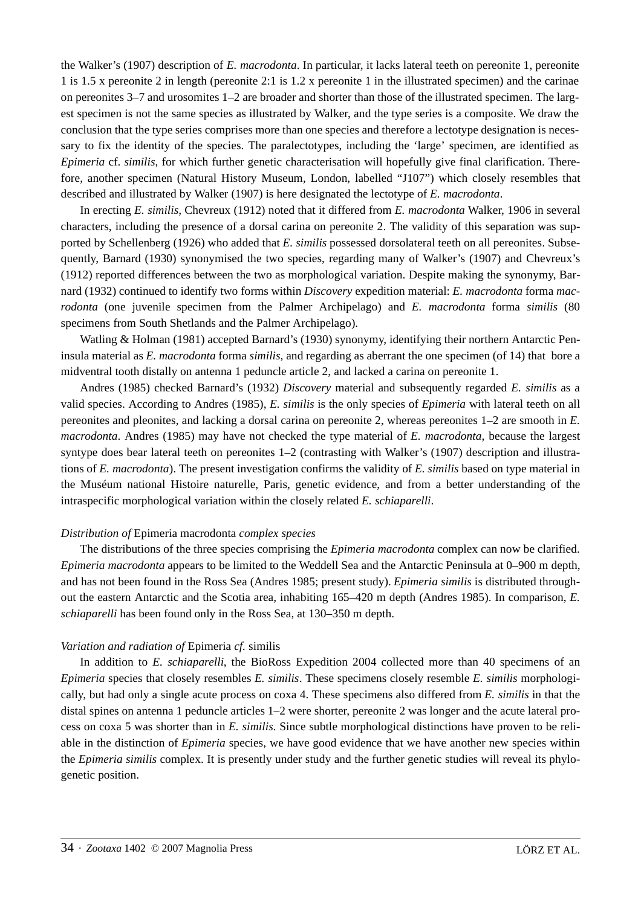the Walker's (1907) description of *E. macrodonta*. In particular, it lacks lateral teeth on pereonite 1, pereonite 1 is 1.5 x pereonite 2 in length (pereonite 2:1 is 1.2 x pereonite 1 in the illustrated specimen) and the carinae on pereonites 3–7 and urosomites 1–2 are broader and shorter than those of the illustrated specimen. The largest specimen is not the same species as illustrated by Walker, and the type series is a composite. We draw the conclusion that the type series comprises more than one species and therefore a lectotype designation is necessary to fix the identity of the species. The paralectotypes, including the 'large' specimen, are identified as *Epimeria* cf. *similis*, for which further genetic characterisation will hopefully give final clarification. Therefore, another specimen (Natural History Museum, London, labelled "J107") which closely resembles that described and illustrated by Walker (1907) is here designated the lectotype of *E. macrodonta*.

In erecting *E. similis,* Chevreux (1912) noted that it differed from *E. macrodonta* Walker, 1906 in several characters, including the presence of a dorsal carina on pereonite 2. The validity of this separation was supported by Schellenberg (1926) who added that *E. similis* possessed dorsolateral teeth on all pereonites. Subsequently, Barnard (1930) synonymised the two species, regarding many of Walker's (1907) and Chevreux's (1912) reported differences between the two as morphological variation. Despite making the synonymy, Barnard (1932) continued to identify two forms within *Discovery* expedition material: *E. macrodonta* forma *macrodonta* (one juvenile specimen from the Palmer Archipelago) and *E. macrodonta* forma *similis* (80 specimens from South Shetlands and the Palmer Archipelago).

Watling & Holman (1981) accepted Barnard's (1930) synonymy, identifying their northern Antarctic Peninsula material as *E. macrodonta* forma *similis*, and regarding as aberrant the one specimen (of 14) that bore a midventral tooth distally on antenna 1 peduncle article 2, and lacked a carina on pereonite 1.

Andres (1985) checked Barnard's (1932) *Discovery* material and subsequently regarded *E. similis* as a valid species. According to Andres (1985), *E. similis* is the only species of *Epimeria* with lateral teeth on all pereonites and pleonites, and lacking a dorsal carina on pereonite 2, whereas pereonites 1–2 are smooth in *E. macrodonta*. Andres (1985) may have not checked the type material of *E. macrodonta*, because the largest syntype does bear lateral teeth on pereonites 1–2 (contrasting with Walker's (1907) description and illustrations of *E. macrodonta*). The present investigation confirms the validity of *E. similis* based on type material in the Muséum national Histoire naturelle, Paris, genetic evidence, and from a better understanding of the intraspecific morphological variation within the closely related *E. schiaparelli*.

# *Distribution of* Epimeria macrodonta *complex species*

The distributions of the three species comprising the *Epimeria macrodonta* complex can now be clarified. *Epimeria macrodonta* appears to be limited to the Weddell Sea and the Antarctic Peninsula at 0–900 m depth, and has not been found in the Ross Sea (Andres 1985; present study). *Epimeria similis* is distributed throughout the eastern Antarctic and the Scotia area, inhabiting 165–420 m depth (Andres 1985). In comparison, *E. schiaparelli* has been found only in the Ross Sea, at 130–350 m depth.

#### *Variation and radiation of* Epimeria *cf.* similis

In addition to *E. schiaparelli*, the BioRoss Expedition 2004 collected more than 40 specimens of an *Epimeria* species that closely resembles *E. similis*. These specimens closely resemble *E. similis* morphologically, but had only a single acute process on coxa 4. These specimens also differed from *E. similis* in that the distal spines on antenna 1 peduncle articles 1–2 were shorter, pereonite 2 was longer and the acute lateral process on coxa 5 was shorter than in *E. similis*. Since subtle morphological distinctions have proven to be reliable in the distinction of *Epimeria* species, we have good evidence that we have another new species within the *Epimeria similis* complex. It is presently under study and the further genetic studies will reveal its phylogenetic position.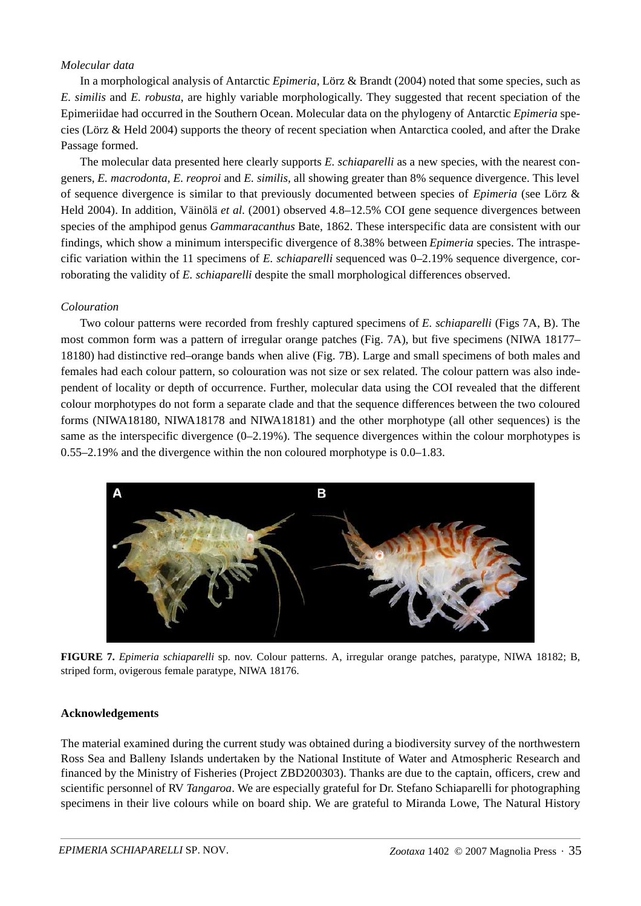# *Molecular data*

In a morphological analysis of Antarctic *Epimeria*, Lörz & Brandt (2004) noted that some species, such as *E. similis* and *E. robusta*, are highly variable morphologically. They suggested that recent speciation of the Epimeriidae had occurred in the Southern Ocean. Molecular data on the phylogeny of Antarctic *Epimeria* species (Lörz & Held 2004) supports the theory of recent speciation when Antarctica cooled, and after the Drake Passage formed.

The molecular data presented here clearly supports *E. schiaparelli* as a new species, with the nearest congeners, *E. macrodonta, E. reoproi* and *E. similis,* all showing greater than 8% sequence divergence. This level of sequence divergence is similar to that previously documented between species of *Epimeria* (see Lörz & Held 2004). In addition, Väinölä *et al*. (2001) observed 4.8–12.5% COI gene sequence divergences between species of the amphipod genus *Gammaracanthus* Bate, 1862. These interspecific data are consistent with our findings, which show a minimum interspecific divergence of 8.38% between *Epimeria* species. The intraspecific variation within the 11 specimens of *E. schiaparelli* sequenced was 0–2.19% sequence divergence, corroborating the validity of *E. schiaparelli* despite the small morphological differences observed.

# *Colouration*

Two colour patterns were recorded from freshly captured specimens of *E. schiaparelli* (Figs 7A, B). The most common form was a pattern of irregular orange patches (Fig. 7A), but five specimens (NIWA 18177– 18180) had distinctive red–orange bands when alive (Fig. 7B). Large and small specimens of both males and females had each colour pattern, so colouration was not size or sex related. The colour pattern was also independent of locality or depth of occurrence. Further, molecular data using the COI revealed that the different colour morphotypes do not form a separate clade and that the sequence differences between the two coloured forms (NIWA18180, NIWA18178 and NIWA18181) and the other morphotype (all other sequences) is the same as the interspecific divergence (0–2.19%). The sequence divergences within the colour morphotypes is 0.55–2.19% and the divergence within the non coloured morphotype is 0.0–1.83.



**FIGURE 7.** *Epimeria schiaparelli* sp. nov. Colour patterns. A, irregular orange patches, paratype, NIWA 18182; B, striped form, ovigerous female paratype, NIWA 18176.

## **Acknowledgements**

The material examined during the current study was obtained during a biodiversity survey of the northwestern Ross Sea and Balleny Islands undertaken by the National Institute of Water and Atmospheric Research and financed by the Ministry of Fisheries (Project ZBD200303). Thanks are due to the captain, officers, crew and scientific personnel of RV *Tangaroa*. We are especially grateful for Dr. Stefano Schiaparelli for photographing specimens in their live colours while on board ship. We are grateful to Miranda Lowe, The Natural History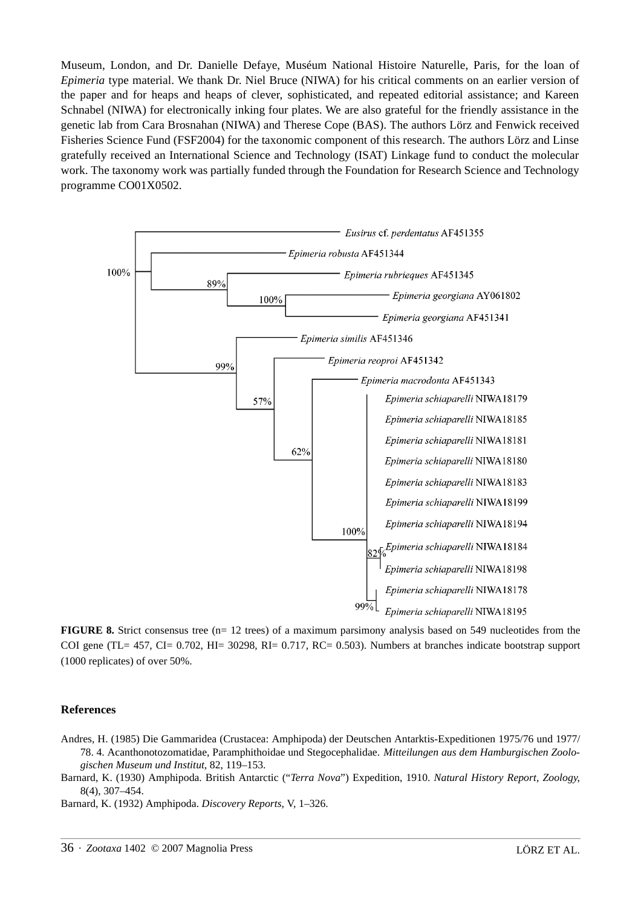Museum, London, and Dr. Danielle Defaye, Muséum National Histoire Naturelle, Paris, for the loan of *Epimeria* type material. We thank Dr. Niel Bruce (NIWA) for his critical comments on an earlier version of the paper and for heaps and heaps of clever, sophisticated, and repeated editorial assistance; and Kareen Schnabel (NIWA) for electronically inking four plates. We are also grateful for the friendly assistance in the genetic lab from Cara Brosnahan (NIWA) and Therese Cope (BAS). The authors Lörz and Fenwick received Fisheries Science Fund (FSF2004) for the taxonomic component of this research. The authors Lörz and Linse gratefully received an International Science and Technology (ISAT) Linkage fund to conduct the molecular work. The taxonomy work was partially funded through the Foundation for Research Science and Technology programme CO01X0502.



**FIGURE 8.** Strict consensus tree (n= 12 trees) of a maximum parsimony analysis based on 549 nucleotides from the COI gene (TL=  $457$ , CI=  $0.702$ , HI= 30298, RI=  $0.717$ , RC=  $0.503$ ). Numbers at branches indicate bootstrap support (1000 replicates) of over 50%.

## **References**

Andres, H. (1985) Die Gammaridea (Crustacea: Amphipoda) der Deutschen Antarktis-Expeditionen 1975/76 und 1977/ 78. 4. Acanthonotozomatidae, Paramphithoidae und Stegocephalidae. *Mitteilungen aus dem Hamburgischen Zoologischen Museum und Institut*, 82, 119–153.

Barnard, K. (1930) Amphipoda. British Antarctic ("*Terra Nova*") Expedition, 1910. *Natural History Report, Zoology*, 8(4), 307–454.

Barnard, K. (1932) Amphipoda. *Discovery Reports*, V, 1–326.